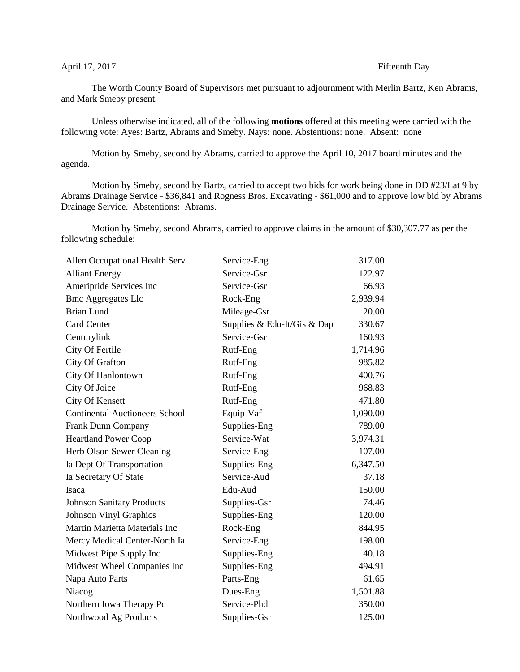## April 17, 2017 Fifteenth Day

The Worth County Board of Supervisors met pursuant to adjournment with Merlin Bartz, Ken Abrams, and Mark Smeby present.

Unless otherwise indicated, all of the following **motions** offered at this meeting were carried with the following vote: Ayes: Bartz, Abrams and Smeby. Nays: none. Abstentions: none. Absent: none

Motion by Smeby, second by Abrams, carried to approve the April 10, 2017 board minutes and the agenda.

Motion by Smeby, second by Bartz, carried to accept two bids for work being done in DD #23/Lat 9 by Abrams Drainage Service - \$36,841 and Rogness Bros. Excavating - \$61,000 and to approve low bid by Abrams Drainage Service. Abstentions: Abrams.

Motion by Smeby, second Abrams, carried to approve claims in the amount of \$30,307.77 as per the following schedule:

| Allen Occupational Health Serv        | Service-Eng                 | 317.00   |
|---------------------------------------|-----------------------------|----------|
| <b>Alliant Energy</b>                 | Service-Gsr                 | 122.97   |
| Ameripride Services Inc               | Service-Gsr                 | 66.93    |
| <b>Bmc Aggregates Llc</b>             | Rock-Eng                    | 2,939.94 |
| <b>Brian Lund</b>                     | Mileage-Gsr                 | 20.00    |
| <b>Card Center</b>                    | Supplies & Edu-It/Gis & Dap | 330.67   |
| Centurylink                           | Service-Gsr                 | 160.93   |
| City Of Fertile                       | Rutf-Eng                    | 1,714.96 |
| City Of Grafton                       | Rutf-Eng                    | 985.82   |
| City Of Hanlontown                    | Rutf-Eng                    | 400.76   |
| City Of Joice                         | Rutf-Eng                    | 968.83   |
| City Of Kensett                       | Rutf-Eng                    | 471.80   |
| <b>Continental Auctioneers School</b> | Equip-Vaf                   | 1,090.00 |
| Frank Dunn Company                    | Supplies-Eng                | 789.00   |
| <b>Heartland Power Coop</b>           | Service-Wat                 | 3,974.31 |
| Herb Olson Sewer Cleaning             | Service-Eng                 | 107.00   |
| Ia Dept Of Transportation             | Supplies-Eng                | 6,347.50 |
| Ia Secretary Of State                 | Service-Aud                 | 37.18    |
| Isaca                                 | Edu-Aud                     | 150.00   |
| <b>Johnson Sanitary Products</b>      | Supplies-Gsr                | 74.46    |
| <b>Johnson Vinyl Graphics</b>         | Supplies-Eng                | 120.00   |
| Martin Marietta Materials Inc         | Rock-Eng                    | 844.95   |
| Mercy Medical Center-North Ia         | Service-Eng                 | 198.00   |
| Midwest Pipe Supply Inc               | Supplies-Eng                | 40.18    |
| Midwest Wheel Companies Inc           | Supplies-Eng                | 494.91   |
| Napa Auto Parts                       | Parts-Eng                   | 61.65    |
| Niacog                                | Dues-Eng                    | 1,501.88 |
| Northern Iowa Therapy Pc              | Service-Phd                 | 350.00   |
| Northwood Ag Products                 | Supplies-Gsr                | 125.00   |